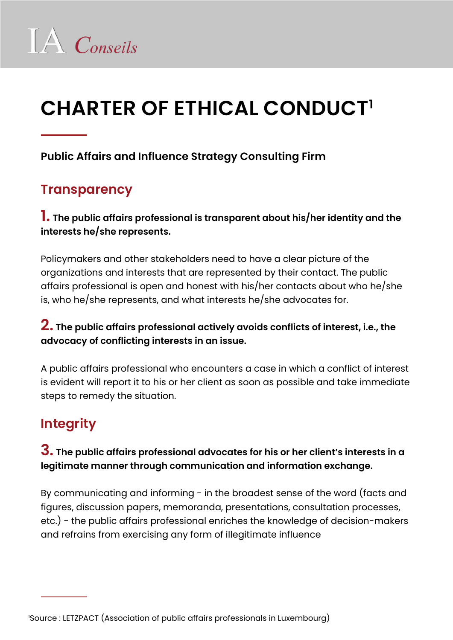# **CHARTER OF ETHICAL CONDUCT1**

#### **Public Affairs and Influence Strategy Consulting Firm**

# **Transparency**

#### **1. The public affairs professional is transparent about his/her identity and the interests he/she represents.**

Policymakers and other stakeholders need to have a clear picture of the organizations and interests that are represented by their contact. The public affairs professional is open and honest with his/her contacts about who he/she is, who he/she represents, and what interests he/she advocates for.

#### **2. The public affairs professional actively avoids conflicts of interest, i.e., the advocacy of conflicting interests in an issue.**

A public affairs professional who encounters a case in which a conflict of interest is evident will report it to his or her client as soon as possible and take immediate steps to remedy the situation.

# **Integrity**

#### **3. The public affairs professional advocates for his or her client's interests in a legitimate manner through communication and information exchange.**

By communicating and informing - in the broadest sense of the word (facts and figures, discussion papers, memoranda, presentations, consultation processes, etc.) - the public affairs professional enriches the knowledge of decision-makers and refrains from exercising any form of illegitimate influence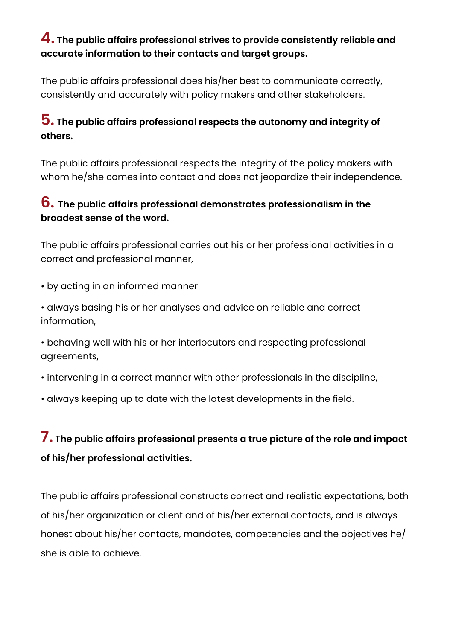#### **4. The public affairs professional strives to provide consistently reliable and accurate information to their contacts and target groups.**

The public affairs professional does his/her best to communicate correctly, consistently and accurately with policy makers and other stakeholders.

#### **5. The public affairs professional respects the autonomy and integrity of others.**

The public affairs professional respects the integrity of the policy makers with whom he/she comes into contact and does not jeopardize their independence.

#### **6. The public affairs professional demonstrates professionalism in the broadest sense of the word.**

The public affairs professional carries out his or her professional activities in a correct and professional manner,

- by acting in an informed manner
- always basing his or her analyses and advice on reliable and correct information,
- behaving well with his or her interlocutors and respecting professional agreements,
- intervening in a correct manner with other professionals in the discipline,
- always keeping up to date with the latest developments in the field.

# **7. The public affairs professional presents a true picture of the role and impact of his/her professional activities.**

The public affairs professional constructs correct and realistic expectations, both of his/her organization or client and of his/her external contacts, and is always honest about his/her contacts, mandates, competencies and the objectives he/ she is able to achieve.